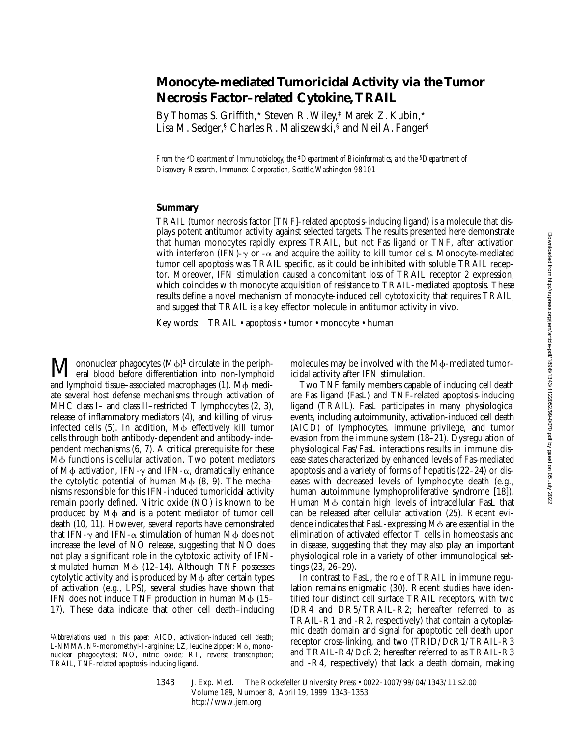# **Monocyte-mediated Tumoricidal Activity via the Tumor Necrosis Factor–related Cytokine, TRAIL**

By Thomas S. Griffith,\* Steven R. Wiley,‡ Marek Z. Kubin,\* Lisa M. Sedger,§ Charles R. Maliszewski,§ and Neil A. Fanger§

*From the* \**Department of Immunobiology, the* ‡*Department of Bioinformatics, and the* §*Department of Discovery Research, Immunex Corporation, Seattle, Washington 98101*

## **Summary**

TRAIL (tumor necrosis factor [TNF]-related apoptosis-inducing ligand) is a molecule that displays potent antitumor activity against selected targets. The results presented here demonstrate that human monocytes rapidly express TRAIL, but not Fas ligand or TNF, after activation with interferon (IFN)- $\gamma$  or - $\alpha$  and acquire the ability to kill tumor cells. Monocyte-mediated tumor cell apoptosis was TRAIL specific, as it could be inhibited with soluble TRAIL receptor. Moreover, IFN stimulation caused a concomitant loss of TRAIL receptor 2 expression, which coincides with monocyte acquisition of resistance to TRAIL-mediated apoptosis. These results define a novel mechanism of monocyte-induced cell cytotoxicity that requires TRAIL, and suggest that TRAIL is a key effector molecule in antitumor activity in vivo.

Key words: TRAIL • apoptosis • tumor • monocyte • human

 $\mathbf{M}$  ononuclear phagocytes  $(M\phi)^1$  circulate in the peripheral blood before differentiation into non-lymphoid ononuclear phagocytes  $(M\phi)^1$  circulate in the periphand lymphoid tissue–associated macrophages  $(1)$ . M $\phi$  mediate several host defense mechanisms through activation of MHC class I– and class II–restricted T lymphocytes (2, 3), release of inflammatory mediators (4), and killing of virusinfected cells  $(5)$ . In addition, M $\phi$  effectively kill tumor cells through both antibody-dependent and antibody-independent mechanisms (6, 7). A critical prerequisite for these  $M\phi$  functions is cellular activation. Two potent mediators of M $\phi$  activation, IFN- $\gamma$  and IFN- $\alpha$ , dramatically enhance the cytolytic potential of human  $M\phi$  (8, 9). The mechanisms responsible for this IFN-induced tumoricidal activity remain poorly defined. Nitric oxide (NO) is known to be produced by M $\phi$  and is a potent mediator of tumor cell death (10, 11). However, several reports have demonstrated that IFN- $\gamma$  and IFN- $\alpha$  stimulation of human M $\phi$  does not increase the level of NO release, suggesting that NO does not play a significant role in the cytotoxic activity of IFNstimulated human  $M\phi$  (12–14). Although TNF possesses cytolytic activity and is produced by  $M\phi$  after certain types of activation (e.g., LPS), several studies have shown that IFN does not induce TNF production in human  $M\phi$  (15– 17). These data indicate that other cell death–inducing

molecules may be involved with the M<sub>Φ</sub>-mediated tumoricidal activity after IFN stimulation.

Two TNF family members capable of inducing cell death are Fas ligand (FasL) and TNF-related apoptosis-inducing ligand (TRAIL). FasL participates in many physiological events, including autoimmunity, activation-induced cell death (AICD) of lymphocytes, immune privilege, and tumor evasion from the immune system (18–21). Dysregulation of physiological Fas/FasL interactions results in immune disease states characterized by enhanced levels of Fas-mediated apoptosis and a variety of forms of hepatitis (22–24) or diseases with decreased levels of lymphocyte death (e.g., human autoimmune lymphoproliferative syndrome [18]). Human M $\phi$  contain high levels of intracellular FasL that can be released after cellular activation (25). Recent evidence indicates that FasL-expressing  $M\phi$  are essential in the elimination of activated effector T cells in homeostasis and in disease, suggesting that they may also play an important physiological role in a variety of other immunological settings (23, 26–29).

In contrast to FasL, the role of TRAIL in immune regulation remains enigmatic (30). Recent studies have identified four distinct cell surface TRAIL receptors, with two (DR4 and DR5/TRAIL-R2; hereafter referred to as TRAIL-R1 and -R2, respectively) that contain a cytoplasmic death domain and signal for apoptotic cell death upon receptor cross-linking, and two (TRID/DcR1/TRAIL-R3 and TRAIL-R4/DcR2; hereafter referred to as TRAIL-R3 and -R4, respectively) that lack a death domain, making Downloaded from http://rupress.org/jem/article-pdf/189/8/1343/1122052/99-0070.pdf by guest on 05 July 2022 Downloaded from http://rupress.org/jem/article-pdf/189/8/1343/1122052/99-0070.pdf by guest on 05 July 2022

<sup>1</sup>*Abbreviations used in this paper:* AICD, activation-induced cell death; L-NMMA,  $N^G$ -monomethyl-1-arginine; LZ, leucine zipper; M $\phi$ , mononuclear phagocyte(s); NO, nitric oxide; RT, reverse transcription; TRAIL, TNF-related apoptosis-inducing ligand.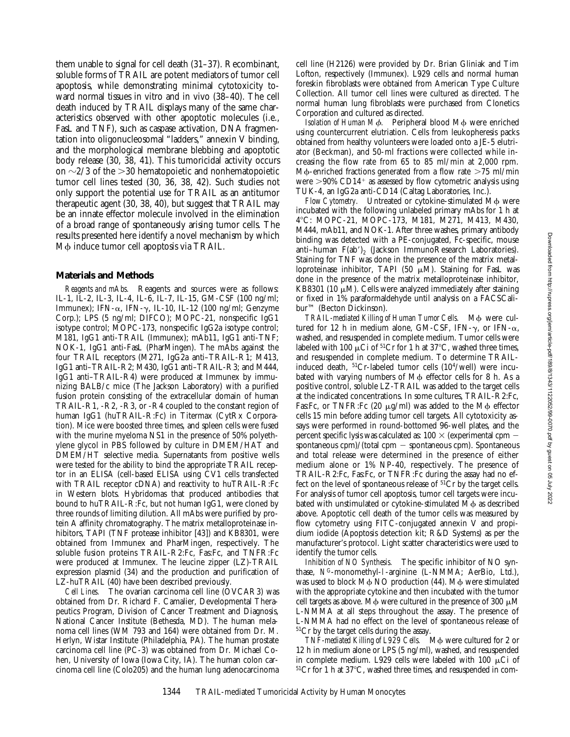them unable to signal for cell death (31–37). Recombinant, soluble forms of TRAIL are potent mediators of tumor cell apoptosis, while demonstrating minimal cytotoxicity toward normal tissues in vitro and in vivo (38–40). The cell death induced by TRAIL displays many of the same characteristics observed with other apoptotic molecules (i.e., FasL and TNF), such as caspase activation, DNA fragmentation into oligonucleosomal "ladders," annexin V binding, and the morphological membrane blebbing and apoptotic body release (30, 38, 41). This tumoricidal activity occurs on  $\sim$ 2/3 of the  $>$ 30 hematopoietic and nonhematopoietic tumor cell lines tested (30, 36, 38, 42). Such studies not only support the potential use for TRAIL as an antitumor therapeutic agent (30, 38, 40), but suggest that TRAIL may be an innate effector molecule involved in the elimination of a broad range of spontaneously arising tumor cells. The results presented here identify a novel mechanism by which M $\phi$  induce tumor cell apoptosis via TRAIL.

#### **Materials and Methods**

*Reagents and mAbs.* Reagents and sources were as follows: IL-1, IL-2, IL-3, IL-4, IL-6, IL-7, IL-15, GM-CSF (100 ng/ml; Immunex); IFN- $\alpha$ , IFN- $\gamma$ , IL-10, IL-12 (100 ng/ml; Genzyme Corp.); LPS (5 ng/ml; DIFCO); MOPC-21, nonspecific IgG1 isotype control; MOPC-173, nonspecific IgG2a isotype control; M181, IgG1 anti-TRAIL (Immunex); mAb11, IgG1 anti-TNF; NOK-1, IgG1 anti-FasL (PharMingen). The mAbs against the four TRAIL receptors (M271, IgG2a anti–TRAIL-R1; M413, IgG1 anti–TRAIL-R2; M430, IgG1 anti–TRAIL-R3; and M444, IgG1 anti–TRAIL-R4) were produced at Immunex by immunizing BALB/c mice (The Jackson Laboratory) with a purified fusion protein consisting of the extracellular domain of human TRAIL-R1, -R2, -R3, or -R4 coupled to the constant region of human IgG1 (huTRAIL-R:Fc) in Titermax (CytRx Corporation). Mice were boosted three times, and spleen cells were fused with the murine myeloma NS1 in the presence of 50% polyethylene glycol in PBS followed by culture in DMEM/HAT and DMEM/HT selective media. Supernatants from positive wells were tested for the ability to bind the appropriate TRAIL receptor in an ELISA (cell-based ELISA using CV1 cells transfected with TRAIL receptor cDNA) and reactivity to huTRAIL-R:Fc in Western blots. Hybridomas that produced antibodies that bound to huTRAIL-R:Fc, but not human IgG1, were cloned by three rounds of limiting dilution. All mAbs were purified by protein A affinity chromatography. The matrix metalloproteinase inhibitors, TAPI (TNF protease inhibitor [43]) and KB8301, were obtained from Immunex and PharMingen, respectively. The soluble fusion proteins TRAIL-R2:Fc, Fas:Fc, and TNFR:Fc were produced at Immunex. The leucine zipper (LZ)-TRAIL expression plasmid (34) and the production and purification of LZ-huTRAIL (40) have been described previously.

*Cell Lines.* The ovarian carcinoma cell line (OVCAR3) was obtained from Dr. Richard F. Camalier, Developmental Therapeutics Program, Division of Cancer Treatment and Diagnosis, National Cancer Institute (Bethesda, MD). The human melanoma cell lines (WM 793 and 164) were obtained from Dr. M. Herlyn, Wistar Institute (Philadelphia, PA). The human prostate carcinoma cell line (PC-3) was obtained from Dr. Michael Cohen, University of Iowa (Iowa City, IA). The human colon carcinoma cell line (Colo205) and the human lung adenocarcinoma cell line (H2126) were provided by Dr. Brian Gliniak and Tim Lofton, respectively (Immunex). L929 cells and normal human foreskin fibroblasts were obtained from American Type Culture Collection. All tumor cell lines were cultured as directed. The normal human lung fibroblasts were purchased from Clonetics Corporation and cultured as directed.

*Isolation of Human Mφ.* Peripheral blood Mφ were enriched using countercurrent elutriation. Cells from leukopheresis packs obtained from healthy volunteers were loaded onto a JE-5 elutriator (Beckman), and 50-ml fractions were collected while increasing the flow rate from 65 to 85 ml/min at 2,000 rpm. M $\phi$ -enriched fractions generated from a flow rate  $>75$  ml/min were  $>90\%$  CD14<sup>+</sup> as assessed by flow cytometric analysis using TUK-4, an IgG2a anti-CD14 (Caltag Laboratories, Inc.).

*Flow Cytometry.* Untreated or cytokine-stimulated Mφ were incubated with the following unlabeled primary mAbs for 1 h at 48C: MOPC-21, MOPC-173, M181, M271, M413, M430, M444, mAb11, and NOK-1. After three washes, primary antibody binding was detected with a PE-conjugated, Fc-specific, mouse anti-human  $F(ab')_2$  (Jackson ImmunoResearch Laboratories). Staining for TNF was done in the presence of the matrix metalloproteinase inhibitor, TAPI (50  $\mu$ M). Staining for FasL was done in the presence of the matrix metalloproteinase inhibitor, KB8301 (10  $\mu$ M). Cells were analyzed immediately after staining or fixed in 1% paraformaldehyde until analysis on a FACSCalibur™ (Becton Dickinson).

TRAIL-mediated Killing of Human Tumor Cells. Mo were cultured for 12 h in medium alone, GM-CSF, IFN- $\gamma$ , or IFN- $\alpha$ , washed, and resuspended in complete medium. Tumor cells were labeled with 100  $\mu$ Ci of <sup>51</sup>Cr for 1 h at 37°C, washed three times, and resuspended in complete medium. To determine TRAILinduced death, 51Cr-labeled tumor cells (104/well) were incubated with varying numbers of  $M\phi$  effector cells for 8 h. As a positive control, soluble LZ-TRAIL was added to the target cells at the indicated concentrations. In some cultures, TRAIL-R2:Fc, Fas: Fc, or TNFR: Fc  $(20 \mu g/ml)$  was added to the M $\phi$  effector cells 15 min before adding tumor cell targets. All cytotoxicity assays were performed in round-bottomed 96-well plates, and the percent specific lysis was calculated as:  $100 \times$  (experimental cpm  $$ spontaneous cpm)/(total cpm  $-$  spontaneous cpm). Spontaneous and total release were determined in the presence of either medium alone or 1% NP-40, respectively. The presence of TRAIL-R2:Fc, Fas:Fc, or TNFR:Fc during the assay had no effect on the level of spontaneous release of  ${}^{51}Cr$  by the target cells. For analysis of tumor cell apoptosis, tumor cell targets were incubated with unstimulated or cytokine-stimulated  $M\phi$  as described above. Apoptotic cell death of the tumor cells was measured by flow cytometry using FITC-conjugated annexin V and propidium iodide (Apoptosis detection kit; R&D Systems) as per the manufacturer's protocol. Light scatter characteristics were used to identify the tumor cells.

*Inhibition of NO Synthesis.* The specific inhibitor of NO synthase, *N*G-monomethyl-l-arginine (L-NMMA; AerBio, Ltd.), was used to block  $M\phi$  NO production (44). M $\phi$  were stimulated with the appropriate cytokine and then incubated with the tumor cell targets as above. M $\phi$  were cultured in the presence of 300  $\mu$ M L-NMMA at all steps throughout the assay. The presence of L-NMMA had no effect on the level of spontaneous release of 51Cr by the target cells during the assay.

*TNF-mediated Killing of L929 Cells.* M $\phi$  were cultured for 2 or 12 h in medium alone or LPS (5 ng/ml), washed, and resuspended in complete medium. L929 cells were labeled with 100  $\mu$ Ci of  $51Cr$  for 1 h at 37 $°C$ , washed three times, and resuspended in com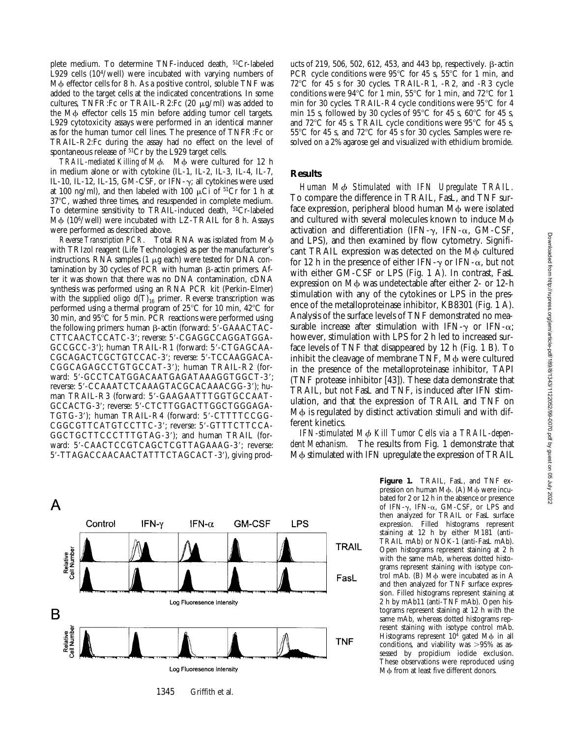plete medium. To determine TNF-induced death, 51Cr-labeled L929 cells (104/well) were incubated with varying numbers of M $\phi$  effector cells for 8 h. As a positive control, soluble TNF was added to the target cells at the indicated concentrations. In some cultures, TNFR:Fc or TRAIL-R2:Fc  $(20 \mu g/ml)$  was added to the M $\phi$  effector cells 15 min before adding tumor cell targets. L929 cytotoxicity assays were performed in an identical manner as for the human tumor cell lines. The presence of TNFR:Fc or TRAIL-R2:Fc during the assay had no effect on the level of spontaneous release of <sup>51</sup>Cr by the L929 target cells.

*TRAIL-mediated Killing of M* $\phi$ *.* M $\phi$  were cultured for 12 h in medium alone or with cytokine (IL-1, IL-2, IL-3, IL-4, IL-7, IL-10, IL-12, IL-15, GM-CSF, or IFN- $\gamma$ ; all cytokines were used at 100 ng/ml), and then labeled with 100  $\mu$ Ci of <sup>51</sup>Cr for 1 h at 37°C, washed three times, and resuspended in complete medium. To determine sensitivity to TRAIL-induced death, 51Cr-labeled M $\phi$  (10<sup>6</sup>/well) were incubated with LZ-TRAIL for 8 h. Assays were performed as described above.

*Reverse Transcription PCR.* Total RNA was isolated from M $\phi$ with TRIzol reagent (Life Technologies) as per the manufacturer's instructions. RNA samples (1  $\mu$ g each) were tested for DNA contamination by 30 cycles of PCR with human  $\beta$ -actin primers. After it was shown that there was no DNA contamination, cDNA synthesis was performed using an RNA PCR kit (Perkin-Elmer) with the supplied oligo  $d(T)_{16}$  primer. Reverse transcription was performed using a thermal program of  $25^{\circ}$ C for 10 min, 42 $^{\circ}$ C for 30 min, and  $95^{\circ}$ C for 5 min. PCR reactions were performed using the following primers: human  $\beta$ -actin (forward:  $5'$ -GAAACTAC-CTTCAACTCCATC-3'; reverse: 5'-CGAGGCCAGGATGGA-GCCGCC-3'); human TRAIL-R1 (forward: 5'-CTGAGCAA-CGCAGACTCGCTGTCCAC-3'; reverse: 5'-TCCAAGGACA-CGGCAGAGCCTGTGCCAT-3'); human TRAIL-R2 (forward: 5'-GCCTCATGGACAATGAGATAAAGGTGGCT-3'; reverse: 5'-CCAAATCTCAAAGTACGCACAAACGG-3'); human TRAIL-R3 (forward: 5'-GAAGAATTTGGTGCCAAT-GCCACTG-3'; reverse: 5'-CTCTTGGACTTGGCTGGGAGA-TGTG-3'); human TRAIL-R4 (forward: 5'-CTTTTCCGG-CGGCGTTCATGTCCTTC-3'; reverse: 5'-GTTTCTTCCA-GGCTGCTTCCCTTTGTAG-3'); and human TRAIL (forward: 5'-CAACTCCGTCAGCTCGTTAGAAAG-3'; reverse: 5'-TTAGACCAACAACTATTTCTAGCACT-3'), giving prod-



1345 Griffith et al.

ucts of 219, 506, 502, 612, 453, and 443 bp, respectively.  $\beta$ -actin PCR cycle conditions were  $95^{\circ}$ C for 45 s,  $55^{\circ}$ C for 1 min, and 72°C for 45 s for 30 cycles. TRAIL-R1, -R2, and -R3 cycle conditions were  $94^{\circ}$ C for 1 min,  $55^{\circ}$ C for 1 min, and  $72^{\circ}$ C for 1 min for 30 cycles. TRAIL-R4 cycle conditions were  $95^{\circ}$ C for 4 min 15 s, followed by 30 cycles of  $95^{\circ}$ C for 45 s,  $60^{\circ}$ C for 45 s, and  $72^{\circ}$ C for 45 s. TRAIL cycle conditions were 95 $^{\circ}$ C for 45 s,  $55^{\circ}$ C for 45 s, and  $72^{\circ}$ C for 45 s for 30 cycles. Samples were resolved on a 2% agarose gel and visualized with ethidium bromide.

### **Results**

*Human M*f *Stimulated with IFN Upregulate TRAIL.* To compare the difference in TRAIL, FasL, and TNF surface expression, peripheral blood human M $\phi$  were isolated and cultured with several molecules known to induce  $M\phi$ activation and differentiation (IFN- $\gamma$ , IFN- $\alpha$ , GM-CSF, and LPS), and then examined by flow cytometry. Significant TRAIL expression was detected on the M $\phi$  cultured for 12 h in the presence of either IFN- $\gamma$  or IFN- $\alpha$ , but not with either GM-CSF or LPS (Fig. 1 A). In contrast, FasL expression on  $M\phi$  was undetectable after either 2- or 12-h stimulation with any of the cytokines or LPS in the presence of the metalloproteinase inhibitor, KB8301 (Fig. 1 A). Analysis of the surface levels of TNF demonstrated no measurable increase after stimulation with IFN- $\gamma$  or IFN- $\alpha$ ; however, stimulation with LPS for 2 h led to increased surface levels of TNF that disappeared by 12 h (Fig. 1 B). To inhibit the cleavage of membrane TNF, M $\phi$  were cultured in the presence of the metalloproteinase inhibitor, TAPI (TNF protease inhibitor [43]). These data demonstrate that TRAIL, but not FasL and TNF, is induced after IFN stimulation, and that the expression of TRAIL and TNF on  $M\phi$  is regulated by distinct activation stimuli and with different kinetics.

IFN-stimulated M $\phi$  Kill Tumor Cells via a TRAIL-depen*dent Mechanism.* The results from Fig. 1 demonstrate that M $\phi$  stimulated with IFN upregulate the expression of TRAIL

> **Figure 1.** TRAIL, FasL, and TNF expression on human  $M\phi$ . (A)  $M\phi$  were incubated for 2 or 12 h in the absence or presence of IFN- $\gamma$ , IFN- $\alpha$ , GM-CSF, or LPS and then analyzed for TRAIL or FasL surface expression. Filled histograms represent staining at 12 h by either M181 (anti-TRAIL mAb) or NOK-1 (anti-FasL mAb). Open histograms represent staining at 2 h with the same mAb, whereas dotted histograms represent staining with isotype control mAb.  $(B)$  M $\phi$  were incubated as in A and then analyzed for TNF surface expression. Filled histograms represent staining at 2 h by mAb11 (anti-TNF mAb). Open histograms represent staining at 12 h with the same mAb, whereas dotted histograms represent staining with isotype control mAb. Histograms represent  $10^4$  gated M $\phi$  in all conditions, and viability was  $>95\%$  as assessed by propidium iodide exclusion. These observations were reproduced using Mφ from at least five different donors.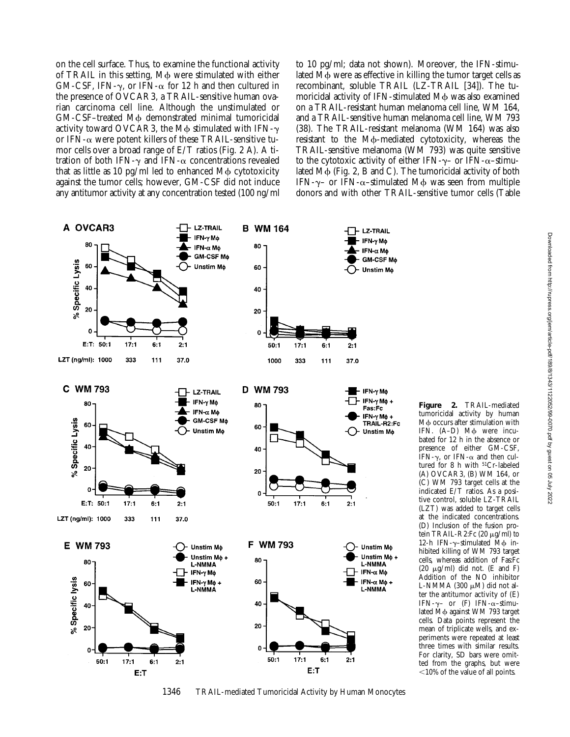on the cell surface. Thus, to examine the functional activity of TRAIL in this setting,  $M\phi$  were stimulated with either GM-CSF, IFN- $\gamma$ , or IFN- $\alpha$  for 12 h and then cultured in the presence of OVCAR3, a TRAIL-sensitive human ovarian carcinoma cell line. Although the unstimulated or GM-CSF-treated M $\phi$  demonstrated minimal tumoricidal activity toward OVCAR3, the M $\phi$  stimulated with IFN- $\gamma$ or IFN- $\alpha$  were potent killers of these TRAIL-sensitive tumor cells over a broad range of E/T ratios (Fig. 2 A). A titration of both IFN- $\gamma$  and IFN- $\alpha$  concentrations revealed that as little as 10 pg/ml led to enhanced  $M\phi$  cytotoxicity against the tumor cells; however, GM-CSF did not induce any antitumor activity at any concentration tested (100 ng/ml to 10 pg/ml; data not shown). Moreover, the IFN-stimulated M $\phi$  were as effective in killing the tumor target cells as recombinant, soluble TRAIL (LZ-TRAIL [34]). The tumoricidal activity of IFN-stimulated M $\phi$  was also examined on a TRAIL-resistant human melanoma cell line, WM 164, and a TRAIL-sensitive human melanoma cell line, WM 793 (38). The TRAIL-resistant melanoma (WM 164) was also resistant to the M<sub>b</sub>-mediated cytotoxicity, whereas the TRAIL-sensitive melanoma (WM 793) was quite sensitive to the cytotoxic activity of either IFN- $\gamma$ – or IFN- $\alpha$ –stimulated  $M\phi$  (Fig. 2, B and C). The tumoricidal activity of both IFN- $\gamma$ – or IFN- $\alpha$ –stimulated M $\phi$  was seen from multiple donors and with other TRAIL-sensitive tumor cells (Table



1346 TRAIL-mediated Tumoricidal Activity by Human Monocytes

**Figure 2.** TRAIL-mediated tumoricidal activity by human M $\phi$  occurs after stimulation with IFN.  $(A-D)$  M $\phi$  were incubated for 12 h in the absence or presence of either GM-CSF, IFN- $\gamma$ , or IFN- $\alpha$  and then cultured for 8 h with <sup>51</sup>Cr-labeled (A) OVCAR3, (B) WM 164, or (C) WM 793 target cells at the indicated E/T ratios. As a positive control, soluble LZ-TRAIL (LZT) was added to target cells at the indicated concentrations. (D) Inclusion of the fusion protein TRAIL-R2:Fc  $(20 \mu g/ml)$  to 12-h IFN- $\gamma$ -stimulated M $\phi$  inhibited killing of WM 793 target cells, whereas addition of Fas:Fc (20  $\mu$ g/ml) did not. (E and F) Addition of the NO inhibitor L-NMMA (300  $\mu$ M) did not alter the antitumor activity of (E) IFN- $\gamma$ - or (F) IFN- $\alpha$ -stimulated M $\phi$  against WM 793 target cells. Data points represent the mean of triplicate wells, and experiments were repeated at least three times with similar results. For clarity, SD bars were omitted from the graphs, but were  $\leq$ 10% of the value of all points.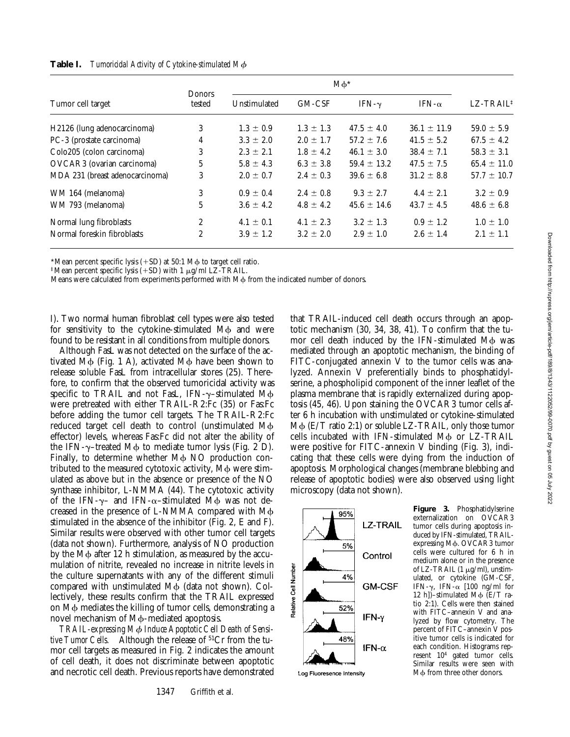| Tumor cell target               | Donors<br>tested | $M\phi^*$     |               |                 |                 |                          |
|---------------------------------|------------------|---------------|---------------|-----------------|-----------------|--------------------------|
|                                 |                  | Unstimulated  | GM-CSF        | IFN- $\gamma$   | IFN- $\alpha$   | $LZ$ -TRAIL <sup>‡</sup> |
| H2126 (lung adenocarcinoma)     | 3                | $1.3 \pm 0.9$ | $1.3 \pm 1.3$ | $47.5 \pm 4.0$  | $36.1 \pm 11.9$ | $59.0 \pm 5.9$           |
| PC-3 (prostate carcinoma)       | 4                | $3.3 \pm 2.0$ | $2.0 \pm 1.7$ | $57.2 \pm 7.6$  | $41.5 \pm 5.2$  | $67.5 \pm 4.2$           |
| Colo205 (colon carcinoma)       | 3                | $2.3 \pm 2.1$ | $1.8 \pm 4.2$ | $46.1 \pm 3.0$  | $38.4 \pm 7.1$  | $58.3 \pm 3.1$           |
| OVCAR3 (ovarian carcinoma)      | 5                | $5.8 \pm 4.3$ | $6.3 \pm 3.8$ | $59.4 \pm 13.2$ | $47.5 \pm 7.5$  | $65.4 \pm 11.0$          |
| MDA 231 (breast adenocarcinoma) | 3                | $2.0 \pm 0.7$ | $2.4 \pm 0.3$ | $39.6 \pm 6.8$  | $31.2 \pm 8.8$  | $57.7 \pm 10.7$          |
| WM 164 (melanoma)               | 3                | $0.9 \pm 0.4$ | $2.4 \pm 0.8$ | $9.3 \pm 2.7$   | $4.4 \pm 2.1$   | $3.2 \pm 0.9$            |
| WM 793 (melanoma)               | 5                | $3.6 \pm 4.2$ | $4.8 \pm 4.2$ | $45.6 \pm 14.6$ | $43.7 \pm 4.5$  | $48.6 \pm 6.8$           |
| Normal lung fibroblasts         | $\overline{c}$   | $4.1 \pm 0.1$ | $4.1 \pm 2.3$ | $3.2 \pm 1.3$   | $0.9 \pm 1.2$   | $1.0 \pm 1.0$            |
| Normal foreskin fibroblasts     | $\overline{c}$   | $3.9 \pm 1.2$ | $3.2 \pm 2.0$ | $2.9 \pm 1.0$   | $2.6 \pm 1.4$   | $2.1 \pm 1.1$            |
|                                 |                  |               |               |                 |                 |                          |

**Table I.** *Tumoricidal Activity of Cytokine-stimulated M*f

\*Mean percent specific lysis  $(+SD)$  at 50:1 M $\phi$  to target cell ratio.

<sup>‡</sup>Mean percent specific lysis (+SD) with 1  $\mu$ g/ml LZ-TRAIL.

Means were calculated from experiments performed with  $M\phi$  from the indicated number of donors.

I). Two normal human fibroblast cell types were also tested for sensitivity to the cytokine-stimulated  $M\phi$  and were found to be resistant in all conditions from multiple donors.

Although FasL was not detected on the surface of the activated  $M\phi$  (Fig. 1 A), activated  $M\phi$  have been shown to release soluble FasL from intracellular stores (25). Therefore, to confirm that the observed tumoricidal activity was specific to TRAIL and not FasL, IFN- $\gamma$ -stimulated M $\phi$ were pretreated with either TRAIL-R2:Fc (35) or Fas:Fc before adding the tumor cell targets. The TRAIL-R2:Fc reduced target cell death to control (unstimulated  $M\phi$ effector) levels, whereas Fas:Fc did not alter the ability of the IFN- $\gamma$ –treated M $\phi$  to mediate tumor lysis (Fig. 2 D). Finally, to determine whether  $M\phi$  NO production contributed to the measured cytotoxic activity,  $M\phi$  were stimulated as above but in the absence or presence of the NO synthase inhibitor, L-NMMA (44). The cytotoxic activity of the IFN- $\gamma$ – and IFN- $\alpha$ –stimulated M $\phi$  was not decreased in the presence of L-NMMA compared with  $M\phi$ stimulated in the absence of the inhibitor (Fig. 2, E and F). Similar results were observed with other tumor cell targets (data not shown). Furthermore, analysis of NO production by the M<sub>Φ</sub> after 12 h stimulation, as measured by the accumulation of nitrite, revealed no increase in nitrite levels in the culture supernatants with any of the different stimuli compared with unstimulated  $M\phi$  (data not shown). Collectively, these results confirm that the TRAIL expressed on  $M\phi$  mediates the killing of tumor cells, demonstrating a novel mechanism of  $M\phi$ -mediated apoptosis.

TRAIL-expressing M $\phi$  Induce Apoptotic Cell Death of Sensi*tive Tumor Cells.* Although the release of 51Cr from the tumor cell targets as measured in Fig. 2 indicates the amount of cell death, it does not discriminate between apoptotic and necrotic cell death. Previous reports have demonstrated that TRAIL-induced cell death occurs through an apoptotic mechanism (30, 34, 38, 41). To confirm that the tumor cell death induced by the IFN-stimulated  $M\phi$  was mediated through an apoptotic mechanism, the binding of FITC-conjugated annexin V to the tumor cells was analyzed. Annexin V preferentially binds to phosphatidylserine, a phospholipid component of the inner leaflet of the plasma membrane that is rapidly externalized during apoptosis (45, 46). Upon staining the OVCAR3 tumor cells after 6 h incubation with unstimulated or cytokine-stimulated  $M\phi$  (E/T ratio 2:1) or soluble LZ-TRAIL, only those tumor cells incubated with IFN-stimulated  $M\phi$  or LZ-TRAIL were positive for FITC-annexin V binding (Fig. 3), indicating that these cells were dying from the induction of apoptosis. Morphological changes (membrane blebbing and release of apoptotic bodies) were also observed using light microscopy (data not shown).



Log Fluoresence Intensity

**Figure 3.** Phosphatidylserine externalization on OVCAR3 tumor cells during apoptosis induced by IFN-stimulated, TRAILexpressing Mφ. OVCAR3 tumor cells were cultured for 6 h in medium alone or in the presence of LZ-TRAIL  $(1 \mu g/ml)$ , unstimulated, or cytokine (GM-CSF, IFN- $\gamma$ , IFN- $\alpha$  [100 ng/ml for 12 h])–stimulated M $\phi$  (E/T ratio 2:1). Cells were then stained with FITC–annexin V and analyzed by flow cytometry. The percent of FITC–annexin V positive tumor cells is indicated for each condition. Histograms represent 104 gated tumor cells. Similar results were seen with  $M\phi$  from three other donors.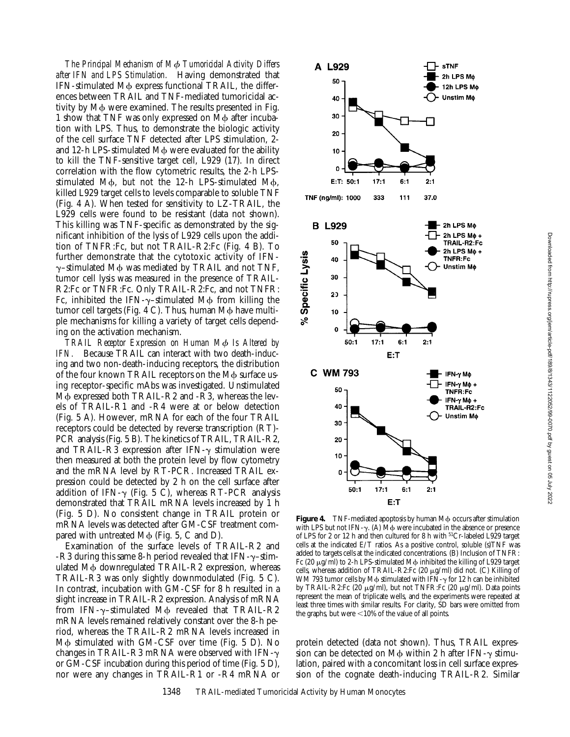Downloaded from http://rupress.org/jem/article-pdf/189/8/1343/1122052/99-0070.pdf by guest on 05 July 2022 Downloaded from http://rupress.org/jem/article-pdf/189/8/1343/1122052/99-0070.pdf by guest on 05 July 2022

*The Principal Mechanism of M*f *Tumoricidal Activity Differs after IFN and LPS Stimulation.* Having demonstrated that IFN-stimulated M $\phi$  express functional TRAIL, the differences between TRAIL and TNF-mediated tumoricidal activity by M $\phi$  were examined. The results presented in Fig. 1 show that TNF was only expressed on M $\phi$  after incubation with LPS. Thus, to demonstrate the biologic activity of the cell surface TNF detected after LPS stimulation, 2 and 12-h LPS-stimulated M<sub>b</sub> were evaluated for the ability to kill the TNF-sensitive target cell, L929 (17). In direct correlation with the flow cytometric results, the 2-h LPSstimulated M $\phi$ , but not the 12-h LPS-stimulated M $\phi$ , killed L929 target cells to levels comparable to soluble TNF (Fig. 4 A). When tested for sensitivity to LZ-TRAIL, the L929 cells were found to be resistant (data not shown). This killing was TNF-specific as demonstrated by the significant inhibition of the lysis of L929 cells upon the addition of TNFR:Fc, but not TRAIL-R2:Fc (Fig. 4 B). To further demonstrate that the cytotoxic activity of IFN- $\gamma$ -stimulated M $\phi$  was mediated by TRAIL and not TNF, tumor cell lysis was measured in the presence of TRAIL-R2:Fc or TNFR:Fc. Only TRAIL-R2:Fc, and not TNFR: Fc, inhibited the IFN- $\gamma$ -stimulated M $\phi$  from killing the tumor cell targets (Fig. 4 C). Thus, human  $M\phi$  have multiple mechanisms for killing a variety of target cells depending on the activation mechanism.

*TRAIL Receptor Expression on Human M*f *Is Altered by IFN.* Because TRAIL can interact with two death-inducing and two non-death-inducing receptors, the distribution of the four known TRAIL receptors on the M $\phi$  surface using receptor-specific mAbs was investigated. Unstimulated  $M\phi$  expressed both TRAIL-R2 and -R3, whereas the levels of TRAIL-R1 and -R4 were at or below detection (Fig. 5 A). However, mRNA for each of the four TRAIL receptors could be detected by reverse transcription (RT)- PCR analysis (Fig. 5 B). The kinetics of TRAIL, TRAIL-R2, and TRAIL-R3 expression after IFN- $\gamma$  stimulation were then measured at both the protein level by flow cytometry and the mRNA level by RT-PCR. Increased TRAIL expression could be detected by 2 h on the cell surface after addition of IFN- $\gamma$  (Fig. 5 C), whereas RT-PCR analysis demonstrated that TRAIL mRNA levels increased by 1 h (Fig. 5 D). No consistent change in TRAIL protein or mRNA levels was detected after GM-CSF treatment compared with untreated  $M\phi$  (Fig. 5, C and D).

Examination of the surface levels of TRAIL-R2 and -R3 during this same 8-h period revealed that IFN- $\gamma$ -stimulated M $\phi$  downregulated TRAIL-R2 expression, whereas TRAIL-R3 was only slightly downmodulated (Fig. 5 C). In contrast, incubation with GM-CSF for 8 h resulted in a slight increase in TRAIL-R2 expression. Analysis of mRNA from IFN- $\gamma$ -stimulated M $\phi$  revealed that TRAIL-R2 mRNA levels remained relatively constant over the 8-h period, whereas the TRAIL-R2 mRNA levels increased in M $\phi$  stimulated with GM-CSF over time (Fig. 5 D). No changes in TRAIL-R3 mRNA were observed with IFN- $\gamma$ or GM-CSF incubation during this period of time (Fig. 5 D), nor were any changes in TRAIL-R1 or -R4 mRNA or



**Figure 4.** TNF-mediated apoptosis by human M $\phi$  occurs after stimulation with LPS but not IFN- $\gamma$ . (A)  $\overline{M\phi}$  were incubated in the absence or presence of LPS for 2 or 12 h and then cultured for 8 h with  $51Cr$ -labeled L929 target cells at the indicated E/T ratios. As a positive control, soluble (s)TNF was added to targets cells at the indicated concentrations. (B) Inclusion of TNFR: Fc (20  $\mu$ g/ml) to 2-h LPS-stimulated M $\phi$  inhibited the killing of L929 target cells, whereas addition of TRAIL-R2:Fc  $(20 \mu g/ml)$  did not.  $(C)$  Killing of WM 793 tumor cells by M $\phi$  stimulated with IFN- $\gamma$  for 12 h can be inhibited by TRAIL-R2:Fc (20 μg/ml), but not TNFR:Fc (20 μg/ml). Data points represent the mean of triplicate wells, and the experiments were repeated at least three times with similar results. For clarity, SD bars were omitted from the graphs, but were  $<$  10% of the value of all points.

protein detected (data not shown). Thus, TRAIL expression can be detected on  $M\phi$  within 2 h after IFN- $\gamma$  stimulation, paired with a concomitant loss in cell surface expression of the cognate death-inducing TRAIL-R2. Similar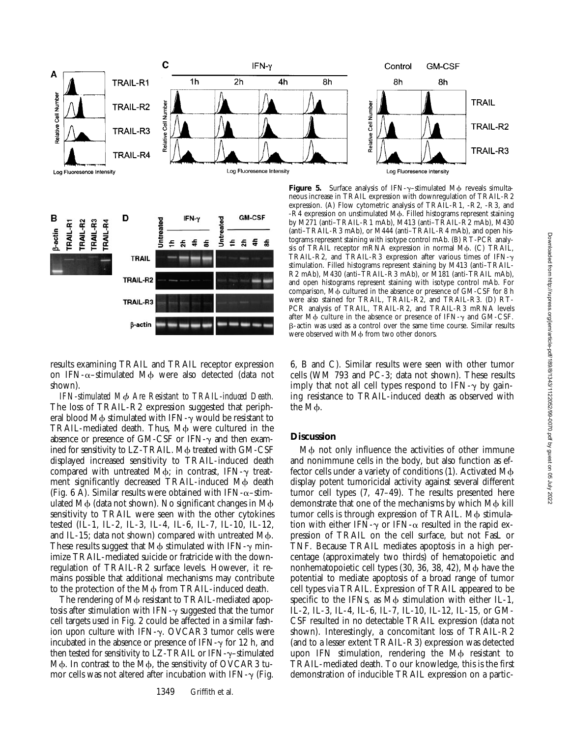



results examining TRAIL and TRAIL receptor expression on IFN- $\alpha$ -stimulated M $\phi$  were also detected (data not shown).

*IFN-stimulated M*f *Are Resistant to TRAIL-induced Death.* The loss of TRAIL-R2 expression suggested that peripheral blood M $\phi$  stimulated with IFN- $\gamma$  would be resistant to TRAIL-mediated death. Thus, M $\phi$  were cultured in the absence or presence of GM-CSF or IFN- $\gamma$  and then examined for sensitivity to LZ-TRAIL. Mo treated with GM-CSF displayed increased sensitivity to TRAIL-induced death compared with untreated M $\phi$ ; in contrast, IFN- $\gamma$  treatment significantly decreased TRAIL-induced M $\phi$  death (Fig. 6 A). Similar results were obtained with IFN- $\alpha$ -stimulated  $M\phi$  (data not shown). No significant changes in  $M\phi$ sensitivity to TRAIL were seen with the other cytokines tested (IL-1, IL-2, IL-3, IL-4, IL-6, IL-7, IL-10, IL-12, and IL-15; data not shown) compared with untreated  $M\phi$ . These results suggest that  $M\phi$  stimulated with IFN- $\gamma$  minimize TRAIL-mediated suicide or fratricide with the downregulation of TRAIL-R2 surface levels. However, it remains possible that additional mechanisms may contribute to the protection of the M $\phi$  from TRAIL-induced death.

The rendering of M $\phi$  resistant to TRAIL-mediated apoptosis after stimulation with IFN- $\gamma$  suggested that the tumor cell targets used in Fig. 2 could be affected in a similar fashion upon culture with IFN- $\gamma$ . OVCAR3 tumor cells were incubated in the absence or presence of IFN- $\gamma$  for 12 h, and then tested for sensitivity to LZ-TRAIL or  $IFN-\gamma$ -stimulated M $\phi$ . In contrast to the M $\phi$ , the sensitivity of OVCAR3 tumor cells was not altered after incubation with IFN- $\gamma$  (Fig.

Figure 5. Surface analysis of IFN-y-stimulated M $\phi$  reveals simultaneous increase in TRAIL expression with downregulation of TRAIL-R2 expression. (A) Flow cytometric analysis of TRAIL-R1, -R2, -R3, and  $-R4$  expression on unstimulated M $\phi$ . Filled histograms represent staining by M271 (anti–TRAIL-R1 mAb), M413 (anti–TRAIL-R2 mAb), M430 (anti–TRAIL-R3 mAb), or M444 (anti–TRAIL-R4 mAb), and open histograms represent staining with isotype control mAb. (B) RT-PCR analysis of TRAIL receptor mRNA expression in normal Mφ. (C) TRAIL, TRAIL-R2, and TRAIL-R3 expression after various times of IFN- $\gamma$ stimulation. Filled histograms represent staining by M413 (anti–TRAIL-R2 mAb), M430 (anti–TRAIL-R3 mAb), or M181 (anti-TRAIL mAb), and open histograms represent staining with isotype control mAb. For comparison, M $\phi$  cultured in the absence or presence of GM-CSF for 8 h were also stained for TRAIL, TRAIL-R2, and TRAIL-R3. (D) RT-PCR analysis of TRAIL, TRAIL-R2, and TRAIL-R3 mRNA levels after M $\phi$  culture in the absence or presence of IFN- $\gamma$  and GM-CSF. b-actin was used as a control over the same time course. Similar results were observed with M<sub>b</sub> from two other donors.

6, B and C). Similar results were seen with other tumor cells (WM 793 and PC-3; data not shown). These results imply that not all cell types respond to IFN- $\gamma$  by gaining resistance to TRAIL-induced death as observed with the M<sub>b</sub>.

# **Discussion**

M $\phi$  not only influence the activities of other immune and nonimmune cells in the body, but also function as effector cells under a variety of conditions  $(1)$ . Activated M $\phi$ display potent tumoricidal activity against several different tumor cell types (7, 47–49). The results presented here demonstrate that one of the mechanisms by which M<sub>b</sub> kill tumor cells is through expression of TRAIL. Mo stimulation with either IFN- $\gamma$  or IFN- $\alpha$  resulted in the rapid expression of TRAIL on the cell surface, but not FasL or TNF. Because TRAIL mediates apoptosis in a high percentage (approximately two thirds) of hematopoietic and nonhematopoietic cell types  $(30, 36, 38, 42)$ ,  $M\phi$  have the potential to mediate apoptosis of a broad range of tumor cell types via TRAIL. Expression of TRAIL appeared to be specific to the IFNs, as  $\overline{M}\phi$  stimulation with either IL-1, IL-2, IL-3, IL-4, IL-6, IL-7, IL-10, IL-12, IL-15, or GM-CSF resulted in no detectable TRAIL expression (data not shown). Interestingly, a concomitant loss of TRAIL-R2 (and to a lesser extent TRAIL-R3) expression was detected upon IFN stimulation, rendering the  $M\phi$  resistant to TRAIL-mediated death. To our knowledge, this is the first demonstration of inducible TRAIL expression on a partic-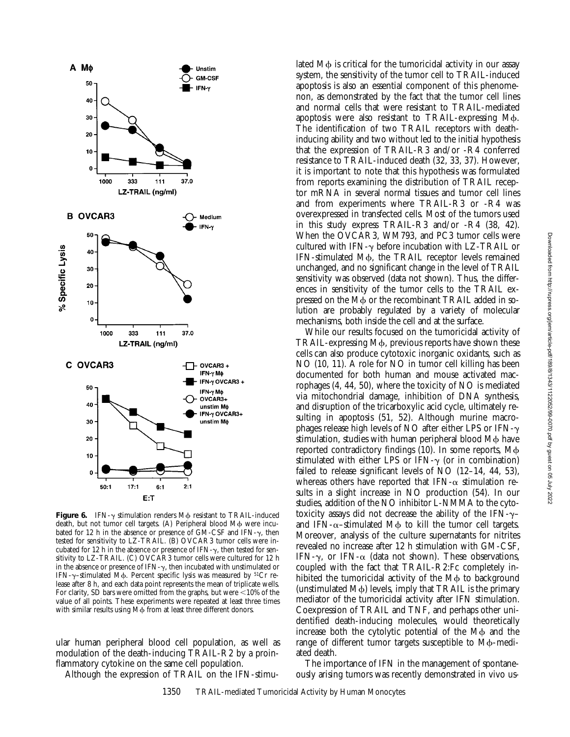

**Figure 6.** IFN- $\gamma$  stimulation renders M $\phi$  resistant to TRAIL-induced death, but not tumor cell targets. (A) Peripheral blood M $\phi$  were incubated for 12 h in the absence or presence of GM-CSF and IFN- $\gamma$ , then tested for sensitivity to LZ-TRAIL. (B) OVCAR3 tumor cells were incubated for 12 h in the absence or presence of IFN- $\gamma$ , then tested for sensitivity to LZ-TRAIL. (C) OVCAR3 tumor cells were cultured for 12 h in the absence or presence of IFN- $\gamma$ , then incubated with unstimulated or IFN- $\gamma$ -stimulated M $\phi$ . Percent specific lysis was measured by <sup>51</sup>Cr release after 8 h, and each data point represents the mean of triplicate wells. For clarity, SD bars were omitted from the graphs, but were  $\leq$  10% of the value of all points. These experiments were repeated at least three times with similar results using M $\phi$  from at least three different donors.

ular human peripheral blood cell population, as well as modulation of the death-inducing TRAIL-R2 by a proinflammatory cytokine on the same cell population.

Although the expression of TRAIL on the IFN-stimu-

lated  $M\phi$  is critical for the tumoricidal activity in our assay system, the sensitivity of the tumor cell to TRAIL-induced apoptosis is also an essential component of this phenomenon, as demonstrated by the fact that the tumor cell lines and normal cells that were resistant to TRAIL-mediated apoptosis were also resistant to TRAIL-expressing M $\phi$ . The identification of two TRAIL receptors with deathinducing ability and two without led to the initial hypothesis that the expression of TRAIL-R3 and/or -R4 conferred resistance to TRAIL-induced death (32, 33, 37). However, it is important to note that this hypothesis was formulated from reports examining the distribution of TRAIL receptor mRNA in several normal tissues and tumor cell lines and from experiments where TRAIL-R3 or -R4 was overexpressed in transfected cells. Most of the tumors used in this study express TRAIL-R3 and/or -R4 (38, 42). When the OVCAR3, WM793, and PC3 tumor cells were cultured with IFN- $\gamma$  before incubation with LZ-TRAIL or IFN-stimulated M $\phi$ , the TRAIL receptor levels remained unchanged, and no significant change in the level of TRAIL sensitivity was observed (data not shown). Thus, the differences in sensitivity of the tumor cells to the TRAIL expressed on the M $\phi$  or the recombinant TRAIL added in solution are probably regulated by a variety of molecular mechanisms, both inside the cell and at the surface.

While our results focused on the tumoricidal activity of TRAIL-expressing M $\phi$ , previous reports have shown these cells can also produce cytotoxic inorganic oxidants, such as NO (10, 11). A role for NO in tumor cell killing has been documented for both human and mouse activated macrophages (4, 44, 50), where the toxicity of NO is mediated via mitochondrial damage, inhibition of DNA synthesis, and disruption of the tricarboxylic acid cycle, ultimately resulting in apoptosis (51, 52). Although murine macrophages release high levels of NO after either LPS or IFN- $\gamma$ stimulation, studies with human peripheral blood M $\phi$  have reported contradictory findings  $(10)$ . In some reports, M $\phi$ stimulated with either LPS or IFN- $\gamma$  (or in combination) failed to release significant levels of NO (12–14, 44, 53), whereas others have reported that IFN- $\alpha$  stimulation results in a slight increase in NO production (54). In our studies, addition of the NO inhibitor L-NMMA to the cytotoxicity assays did not decrease the ability of the IFN- $\gamma$ – and IFN- $\alpha$ -stimulated M $\phi$  to kill the tumor cell targets. Moreover, analysis of the culture supernatants for nitrites revealed no increase after 12 h stimulation with GM-CSF, IFN- $\gamma$ , or IFN- $\alpha$  (data not shown). These observations, coupled with the fact that TRAIL-R2:Fc completely inhibited the tumoricidal activity of the M $\phi$  to background (unstimulated  $M\phi$ ) levels, imply that TRAIL is the primary mediator of the tumoricidal activity after IFN stimulation. Coexpression of TRAIL and TNF, and perhaps other unidentified death-inducing molecules, would theoretically increase both the cytolytic potential of the M $\phi$  and the range of different tumor targets susceptible to M $\phi$ -mediated death.

The importance of IFN in the management of spontaneously arising tumors was recently demonstrated in vivo us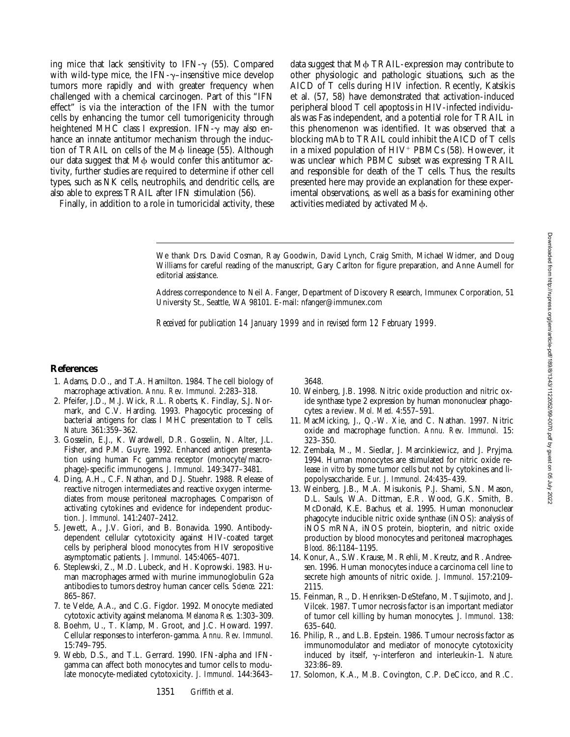ing mice that lack sensitivity to IFN- $\gamma$  (55). Compared with wild-type mice, the IFN- $\gamma$ -insensitive mice develop tumors more rapidly and with greater frequency when challenged with a chemical carcinogen. Part of this "IFN effect" is via the interaction of the IFN with the tumor cells by enhancing the tumor cell tumorigenicity through heightened MHC class I expression. IFN- $\gamma$  may also enhance an innate antitumor mechanism through the induction of TRAIL on cells of the  $M\phi$  lineage (55). Although our data suggest that  $M\phi$  would confer this antitumor activity, further studies are required to determine if other cell types, such as NK cells, neutrophils, and dendritic cells, are also able to express TRAIL after IFN stimulation (56).

Finally, in addition to a role in tumoricidal activity, these

data suggest that  $M\phi$  TRAIL-expression may contribute to other physiologic and pathologic situations, such as the AICD of T cells during HIV infection. Recently, Katsikis et al. (57, 58) have demonstrated that activation-induced peripheral blood T cell apoptosis in HIV-infected individuals was Fas independent, and a potential role for TRAIL in this phenomenon was identified. It was observed that a blocking mAb to TRAIL could inhibit the AICD of T cells in a mixed population of  $HIV^+$  PBMCs (58). However, it was unclear which PBMC subset was expressing TRAIL and responsible for death of the T cells. Thus, the results presented here may provide an explanation for these experimental observations, as well as a basis for examining other activities mediated by activated  $M\phi$ .

We thank Drs. David Cosman, Ray Goodwin, David Lynch, Craig Smith, Michael Widmer, and Doug Williams for careful reading of the manuscript, Gary Carlton for figure preparation, and Anne Aumell for editorial assistance.

Address correspondence to Neil A. Fanger, Department of Discovery Research, Immunex Corporation, 51 University St., Seattle, WA 98101. E-mail: nfanger@immunex.com

*Received for publication 14 January 1999 and in revised form 12 February 1999.*

#### **References**

- 1. Adams, D.O., and T.A. Hamilton. 1984. The cell biology of macrophage activation. *Annu. Rev. Immunol.* 2:283–318.
- 2. Pfeifer, J.D., M.J. Wick, R.L. Roberts, K. Findlay, S.J. Normark, and C.V. Harding. 1993. Phagocytic processing of bacterial antigens for class I MHC presentation to T cells. *Nature.* 361:359–362.
- 3. Gosselin, E.J., K. Wardwell, D.R. Gosselin, N. Alter, J.L. Fisher, and P.M. Guyre. 1992. Enhanced antigen presentation using human Fc gamma receptor (monocyte/macrophage)-specific immunogens. *J. Immunol.* 149:3477–3481.
- 4. Ding, A.H., C.F. Nathan, and D.J. Stuehr. 1988. Release of reactive nitrogen intermediates and reactive oxygen intermediates from mouse peritoneal macrophages. Comparison of activating cytokines and evidence for independent production. *J. Immunol.* 141:2407–2412.
- 5. Jewett, A., J.V. Giori, and B. Bonavida. 1990. Antibodydependent cellular cytotoxicity against HIV-coated target cells by peripheral blood monocytes from HIV seropositive asymptomatic patients. *J. Immunol.* 145:4065–4071.
- 6. Steplewski, Z., M.D. Lubeck, and H. Koprowski. 1983. Human macrophages armed with murine immunoglobulin G2a antibodies to tumors destroy human cancer cells. *Science.* 221: 865–867.
- 7. te Velde, A.A., and C.G. Figdor. 1992. Monocyte mediated cytotoxic activity against melanoma. *Melanoma Res.* 1:303–309.
- 8. Boehm, U., T. Klamp, M. Groot, and J.C. Howard. 1997. Cellular responses to interferon-gamma. *Annu. Rev. Immunol.* 15:749–795.
- 9. Webb, D.S., and T.L. Gerrard. 1990. IFN-alpha and IFNgamma can affect both monocytes and tumor cells to modulate monocyte-mediated cytotoxicity. *J. Immunol.* 144:3643–

3648.

- 10. Weinberg, J.B. 1998. Nitric oxide production and nitric oxide synthase type 2 expression by human mononuclear phagocytes: a review. *Mol. Med.* 4:557–591.
- 11. MacMicking, J., Q.-W. Xie, and C. Nathan. 1997. Nitric oxide and macrophage function. *Annu. Rev. Immunol.* 15: 323–350.
- 12. Zembala, M., M. Siedlar, J. Marcinkiewicz, and J. Pryjma. 1994. Human monocytes are stimulated for nitric oxide release *in vitro* by some tumor cells but not by cytokines and lipopolysaccharide. *Eur. J. Immunol.* 24:435–439.
- 13. Weinberg, J.B., M.A. Misukonis, P.J. Shami, S.N. Mason, D.L. Sauls, W.A. Dittman, E.R. Wood, G.K. Smith, B. McDonald, K.E. Bachus, et al. 1995. Human mononuclear phagocyte inducible nitric oxide synthase (iNOS): analysis of iNOS mRNA, iNOS protein, biopterin, and nitric oxide production by blood monocytes and peritoneal macrophages. *Blood.* 86:1184–1195.
- 14. Konur, A., S.W. Krause, M. Rehli, M. Kreutz, and R. Andreesen. 1996. Human monocytes induce a carcinoma cell line to secrete high amounts of nitric oxide. *J. Immunol.* 157:2109– 2115.
- 15. Feinman, R., D. Henriksen-DeStefano, M. Tsujimoto, and J. Vilcek. 1987. Tumor necrosis factor is an important mediator of tumor cell killing by human monocytes. *J. Immunol.* 138: 635–640.
- 16. Philip, R., and L.B. Epstein. 1986. Tumour necrosis factor as immunomodulator and mediator of monocyte cytotoxicity induced by itself, g-interferon and interleukin-1. *Nature.* 323:86–89.
- 17. Solomon, K.A., M.B. Covington, C.P. DeCicco, and R.C.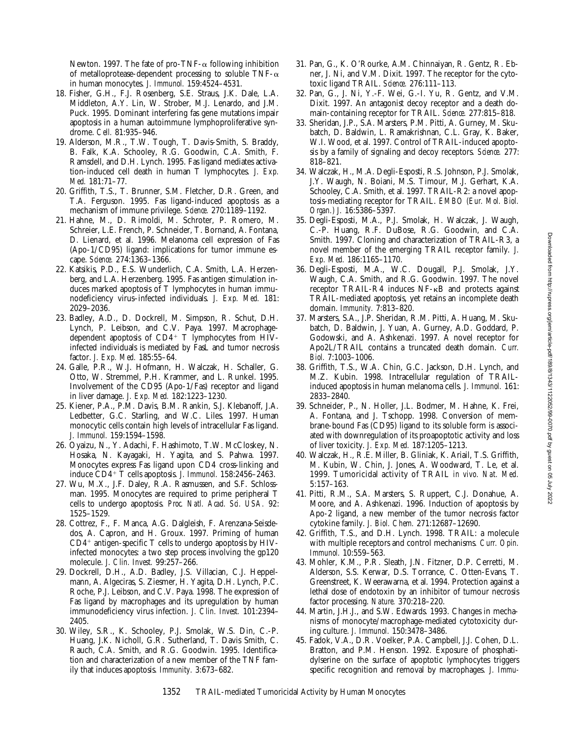Newton. 1997. The fate of pro-TNF- $\alpha$  following inhibition of metalloprotease-dependent processing to soluble TNF- $\alpha$ in human monocytes. *J. Immunol.* 159:4524–4531.

- 18. Fisher, G.H., F.J. Rosenberg, S.E. Straus, J.K. Dale, L.A. Middleton, A.Y. Lin, W. Strober, M.J. Lenardo, and J.M. Puck. 1995. Dominant interfering fas gene mutations impair apoptosis in a human autoimmune lymphoproliferative syndrome. *Cell.* 81:935–946.
- 19. Alderson, M.R., T.W. Tough, T. Davis-Smith, S. Braddy, B. Falk, K.A. Schooley, R.G. Goodwin, C.A. Smith, F. Ramsdell, and D.H. Lynch. 1995. Fas ligand mediates activation-induced cell death in human T lymphocytes. *J. Exp. Med.* 181:71–77.
- 20. Griffith, T.S., T. Brunner, S.M. Fletcher, D.R. Green, and T.A. Ferguson. 1995. Fas ligand-induced apoptosis as a mechanism of immune privilege. *Science.* 270:1189–1192.
- 21. Hahne, M., D. Rimoldi, M. Schroter, P. Romero, M. Schreier, L.E. French, P. Schneider, T. Bornand, A. Fontana, D. Lienard, et al. 1996. Melanoma cell expression of Fas (Apo-1/CD95) ligand: implications for tumor immune escape. *Science.* 274:1363–1366.
- 22. Katsikis, P.D., E.S. Wunderlich, C.A. Smith, L.A. Herzenberg, and L.A. Herzenberg. 1995. Fas antigen stimulation induces marked apoptosis of T lymphocytes in human immunodeficiency virus–infected individuals. *J. Exp. Med.* 181: 2029–2036.
- 23. Badley, A.D., D. Dockrell, M. Simpson, R. Schut, D.H. Lynch, P. Leibson, and C.V. Paya. 1997. Macrophagedependent apoptosis of  $CD4^+$  T lymphocytes from  $HIV$ infected individuals is mediated by FasL and tumor necrosis factor. *J. Exp. Med.* 185:55–64.
- 24. Galle, P.R., W.J. Hofmann, H. Walczak, H. Schaller, G. Otto, W. Stremmel, P.H. Krammer, and L. Runkel. 1995. Involvement of the CD95 (Apo-1/Fas) receptor and ligand in liver damage. *J. Exp. Med.* 182:1223–1230.
- 25. Kiener, P.A., P.M. Davis, B.M. Rankin, S.J. Klebanoff, J.A. Ledbetter, G.C. Starling, and W.C. Liles. 1997. Human monocytic cells contain high levels of intracellular Fas ligand. *J. Immunol.* 159:1594–1598.
- 26. Oyaizu, N., Y. Adachi, F. Hashimoto, T.W. McCloskey, N. Hosaka, N. Kayagaki, H. Yagita, and S. Pahwa. 1997. Monocytes express Fas ligand upon CD4 cross-linking and induce CD4<sup>+</sup> T cells apoptosis. *J. Immunol.* 158:2456-2463.
- 27. Wu, M.X., J.F. Daley, R.A. Rasmussen, and S.F. Schlossman. 1995. Monocytes are required to prime peripheral T cells to undergo apoptosis. *Proc. Natl. Acad. Sci. USA.* 92: 1525–1529.
- 28. Cottrez, F., F. Manca, A.G. Dalgleish, F. Arenzana-Seisdedos, A. Capron, and H. Groux. 1997. Priming of human  $CD4^+$  antigen-specific T cells to undergo apoptosis by HIVinfected monocytes: a two step process involving the gp120 molecule. *J. Clin. Invest.* 99:257–266.
- 29. Dockrell, D.H., A.D. Badley, J.S. Villacian, C.J. Heppelmann, A. Algeciras, S. Ziesmer, H. Yagita, D.H. Lynch, P.C. Roche, P.J. Leibson, and C.V. Paya. 1998. The expression of Fas ligand by macrophages and its upregulation by human immunodeficiency virus infection. *J. Clin. Invest.* 101:2394– 2405.
- 30. Wiley, S.R., K. Schooley, P.J. Smolak, W.S. Din, C.-P. Huang, J.K. Nicholl, G.R. Sutherland, T. Davis Smith, C. Rauch, C.A. Smith, and R.G. Goodwin. 1995. Identification and characterization of a new member of the TNF family that induces apoptosis. *Immunity.* 3:673–682.
- 31. Pan, G., K. O'Rourke, A.M. Chinnaiyan, R. Gentz, R. Ebner, J. Ni, and V.M. Dixit. 1997. The receptor for the cytotoxic ligand TRAIL. *Science.* 276:111–113.
- 32. Pan, G., J. Ni, Y.-F. Wei, G.-I. Yu, R. Gentz, and V.M. Dixit. 1997. An antagonist decoy receptor and a death domain-containing receptor for TRAIL. *Science.* 277:815–818.
- 33. Sheridan, J.P., S.A. Marsters, P.M. Pitti, A. Gurney, M. Skubatch, D. Baldwin, L. Ramakrishnan, C.L. Gray, K. Baker, W.I. Wood, et al. 1997. Control of TRAIL-induced apoptosis by a family of signaling and decoy receptors. *Science.* 277: 818–821.
- 34. Walczak, H., M.A. Degli-Esposti, R.S. Johnson, P.J. Smolak, J.Y. Waugh, N. Boiani, M.S. Timour, M.J. Gerhart, K.A. Schooley, C.A. Smith, et al. 1997. TRAIL-R2: a novel apoptosis-mediating receptor for TRAIL. *EMBO (Eur. Mol. Biol. Organ.) J.* 16:5386–5397.
- 35. Degli-Esposti, M.A., P.J. Smolak, H. Walczak, J. Waugh, C.-P. Huang, R.F. DuBose, R.G. Goodwin, and C.A. Smith. 1997. Cloning and characterization of TRAIL-R3, a novel member of the emerging TRAIL receptor family. *J. Exp. Med.* 186:1165–1170.
- 36. Degli-Esposti, M.A., W.C. Dougall, P.J. Smolak, J.Y. Waugh, C.A. Smith, and R.G. Goodwin. 1997. The novel receptor TRAIL-R4 induces NF-kB and protects against TRAIL-mediated apoptosis, yet retains an incomplete death domain. *Immunity.* 7:813–820.
- 37. Marsters, S.A., J.P. Sheridan, R.M. Pitti, A. Huang, M. Skubatch, D. Baldwin, J. Yuan, A. Gurney, A.D. Goddard, P. Godowski, and A. Ashkenazi. 1997. A novel receptor for Apo2L/TRAIL contains a truncated death domain. *Curr. Biol.* 7:1003–1006.
- 38. Griffith, T.S., W.A. Chin, G.C. Jackson, D.H. Lynch, and M.Z. Kubin. 1998. Intracellular regulation of TRAILinduced apoptosis in human melanoma cells. *J. Immunol.* 161: 2833–2840.
- 39. Schneider, P., N. Holler, J.L. Bodmer, M. Hahne, K. Frei, A. Fontana, and J. Tschopp. 1998. Conversion of membrane-bound Fas (CD95) ligand to its soluble form is associated with downregulation of its proapoptotic activity and loss of liver toxicity. *J. Exp. Med.* 187:1205–1213.
- 40. Walczak, H., R.E. Miller, B. Gliniak, K. Ariail, T.S. Griffith, M. Kubin, W. Chin, J. Jones, A. Woodward, T. Le, et al. 1999. Tumoricidal activity of TRAIL *in vivo. Nat. Med.* 5:157–163.
- 41. Pitti, R.M., S.A. Marsters, S. Ruppert, C.J. Donahue, A. Moore, and A. Ashkenazi. 1996. Induction of apoptosis by Apo-2 ligand, a new member of the tumor necrosis factor cytokine family. *J. Biol. Chem.* 271:12687–12690.
- 42. Griffith, T.S., and D.H. Lynch. 1998. TRAIL: a molecule with multiple receptors and control mechanisms. *Curr. Opin. Immunol.* 10:559–563.
- 43. Mohler, K.M., P.R. Sleath, J.N. Fitzner, D.P. Cerretti, M. Alderson, S.S. Kerwar, D.S. Torrance, C. Otten-Evans, T. Greenstreet, K. Weerawarna, et al. 1994. Protection against a lethal dose of endotoxin by an inhibitor of tumour necrosis factor processing. *Nature.* 370:218–220.
- 44. Martin, J.H.J., and S.W. Edwards. 1993. Changes in mechanisms of monocyte/macrophage-mediated cytotoxicity during culture. *J. Immunol.* 150:3478–3486.
- 45. Fadok, V.A., D.R. Voelker, P.A. Campbell, J.J. Cohen, D.L. Bratton, and P.M. Henson. 1992. Exposure of phosphatidylserine on the surface of apoptotic lymphocytes triggers specific recognition and removal by macrophages. *J. Immu-*